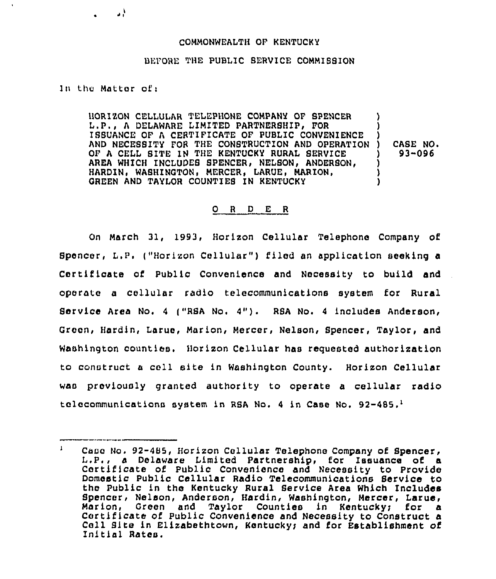## COMMONWEALTH OF KENTUCKY

## BEl'ORE THE PUBLIC SERVICE COMMISSION

## 1n thu Matter oi'i

ЪN.

HORIXON CELLULAR TELEPHONE COMPANY OF SPENCER L.P., <sup>A</sup> DELAWARE LIMITED PARTNERSHIP, FOR ISSUANCE OF <sup>A</sup> CERTIFICATE OF PUBLIC CONVENIENCE AND NECEBSITY FOR THE CONBTRUCTION AND OPERATION OF <sup>A</sup> CELL SITE IN THE KENTUCKY RURAL SERVICE AREA WHICH INCLUDES SPENCER, NELSON, ANDERSON, HARDIN, WASHINGTON, MERCER, LARUE, MARION. GREEN AND TAYLOR COUNTIES IN KENTUCKY ) ) ) ) ) )

) CABE NO <sup>~</sup> ) 93"096

## 0 <sup>R</sup> <sup>D</sup> E <sup>R</sup>

On March 31, 1993, Horizon Cellular Telephone Company of Spencer, L.P, ("Horixon Cellular" ) filed an application seeking <sup>a</sup> Certificate of Public Convenience and Necessity to build and operate a cellular radio telecommunications system for Rural Bervice Area No, <sup>4</sup> ("RSA No. 4"). RSA No. <sup>4</sup> includes Anderson, Green, Hardin, Larue, Marion, Mercer, Nelson, Spencer, Taylor, and Washington counties. Horizon Cellular has requested authorization to construct a cell site in Washington County. Horizon Cellular was previously granted authority to operate a cellular radio telecommunications system in RSA No. 4 in Case No. 92-485.<sup>1</sup>

Case No. 92-485, Horizon Cellular Telephone Company of Spencer, L.P., a Delaware Limited Partnership, for Issuance of a Certificate of Public Convenience and Necessity to Provide Domestic Public Cellular Radio Telecommunications Service to the Public in the Kentucky Rural Service Area Which Includes Spencer, Nelson, Anderson, Hardin, Washington, Mercer, Larue,<br>Marion, Green and Tavlor Counties in Kentucky: for a Marion, Green and Taylor Counties in Kentucky; for Certificate of Public Convenience and Necessity to Construct a Cell Site in Elizabethtown, Kentucky; and for Establishment of Initial Rates.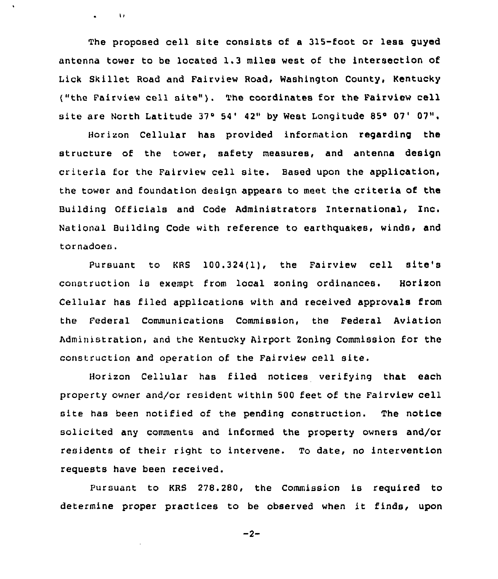The proposed cell site consists of a 315-foot or less guyed antenna tower to be located 1.3 miles west of the intersection of Lick Skillet Road and Falrview Road, Washington County, Kentucky ("the Fairview cell site"). The coordinates for the Fairview cell site are North Latitude 37° 54' 42" by West Longitude 85° 07' 07".

 $\sim 30$ 

Horizon Cellular has provided information regarding the structure of the tower, safety measures, and antenna design criteria for the Fairview cell site. Based upon the application, the tower and foundation desiqn appears to meet the criteria of the Building Officials and Code Administrators International, Inc. National Building Code with reference to earthquakes, winds, and tornadoes.

Pursuant to KRS 100.324(1), the Fairview cell site's construction is exempt from local zoning ordinances. Horizon Cellu1ar has filed applications with and received approvals from the Federal Communications Commission, the Federal Aviation Administration, and the Kentucky Airport Zoning Commission for the construction and operation of the Fairview cell site.

Horizon Cellular has filed notices verifying that each property owner and/or resident within 500 feet of the Fairview cell site has been notified of the pending construction. The notice solicited any comments and informed the property owners and/or residents of their right to intervene. To date, no intervention requests have been received.

Pursuant to KRS 278.280, the Commission is required to determine proper practices to be observed when it finds, upon

 $-2-$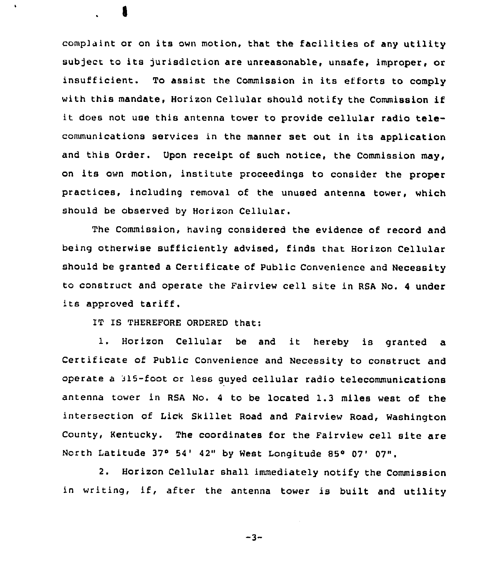complaint or on its own motion, that the facilities of any utility subject to its jurisdiction are unreasonable, unsafe, improper, or insufficient. To assist the Commission in its efforts to comply with this mandate, Horizon Cellular should notify the Commission if it does not use this antenna tower to provide cellular radio telecommunications services in the manner set out in its application and this Order. Upon receipt of such notice, the Commission may, on its own motion, institute proceedings to consider the proper practices, including removal of the unused antenna tower, which should be observed by Horizon Cellular.

The Commission, having considered the evidence of record and being otherwise sufficiently advised, finds that Horizon Cellular should be granted a Certificate of Public Convenience and Necessity to construct and operate the Fairview cell site in RSA No. <sup>4</sup> under its approved tariff,

IT IS THEREFORE ORDERED that:

а

1. Horizon Cellular be and it hereby is granted <sup>a</sup> Certificate of Public Convenience and Necessity to construct and operate a 315-foot or less guyed cellular radio telecommunications antenna tower in RSA No. <sup>4</sup> to be located I.3 miles west of the intersection of Lick Skillet Road and Fairview Road, Washington County, Kentucky. The coordinates for the Fairview cell site are North Latitude 37° 54' 42" by West Longitude 85° 07' 07".

2. Horizon Cellular shall immediately notify the Commission in writing, if, after the antenna tower is built and utility

 $-3-$